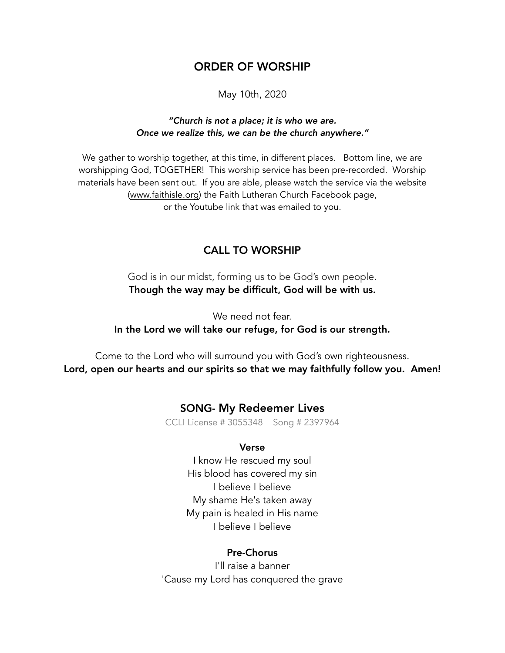# ORDER OF WORSHIP

May 10th, 2020

### *"Church is not a place; it is who we are. Once we realize this, we can be the church anywhere."*

We gather to worship together, at this time, in different places. Bottom line, we are worshipping God, TOGETHER! This worship service has been pre-recorded. Worship materials have been sent out. If you are able, please watch the service via the website ([www.faithisle.org](http://www.faithisle.org)) the Faith Lutheran Church Facebook page, or the Youtube link that was emailed to you.

## CALL TO WORSHIP

God is in our midst, forming us to be God's own people. Though the way may be difficult, God will be with us.

We need not fear. In the Lord we will take our refuge, for God is our strength.

Come to the Lord who will surround you with God's own righteousness. Lord, open our hearts and our spirits so that we may faithfully follow you. Amen!

## SONG- My Redeemer Lives

CCLI License # 3055348 Song # 2397964

#### Verse

I know He rescued my soul His blood has covered my sin I believe I believe My shame He's taken away My pain is healed in His name I believe I believe

#### Pre-Chorus

I'll raise a banner 'Cause my Lord has conquered the grave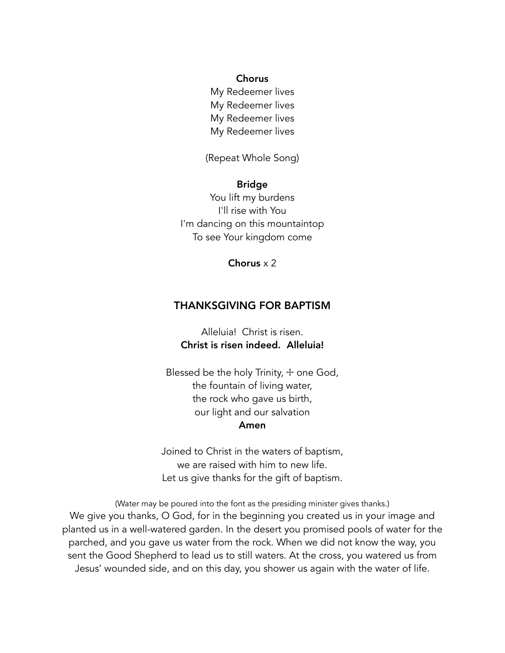### Chorus

My Redeemer lives My Redeemer lives My Redeemer lives My Redeemer lives

(Repeat Whole Song)

### Bridge

You lift my burdens I'll rise with You I'm dancing on this mountaintop To see Your kingdom come

Chorus x 2

## THANKSGIVING FOR BAPTISM

Alleluia! Christ is risen. Christ is risen indeed. Alleluia!

Blessed be the holy Trinity,  $+$  one God, the fountain of living water, the rock who gave us birth, our light and our salvation Amen

Joined to Christ in the waters of baptism, we are raised with him to new life. Let us give thanks for the gift of baptism.

(Water may be poured into the font as the presiding minister gives thanks.) We give you thanks, O God, for in the beginning you created us in your image and planted us in a well-watered garden. In the desert you promised pools of water for the parched, and you gave us water from the rock. When we did not know the way, you sent the Good Shepherd to lead us to still waters. At the cross, you watered us from Jesus' wounded side, and on this day, you shower us again with the water of life.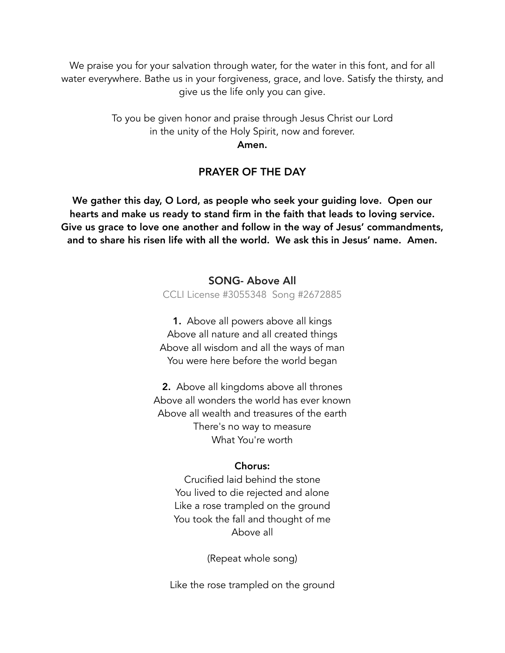We praise you for your salvation through water, for the water in this font, and for all water everywhere. Bathe us in your forgiveness, grace, and love. Satisfy the thirsty, and give us the life only you can give.

> To you be given honor and praise through Jesus Christ our Lord in the unity of the Holy Spirit, now and forever.

Amen.

## PRAYER OF THE DAY

We gather this day, O Lord, as people who seek your guiding love. Open our hearts and make us ready to stand firm in the faith that leads to loving service. Give us grace to love one another and follow in the way of Jesus' commandments, and to share his risen life with all the world. We ask this in Jesus' name. Amen.

# SONG- Above All CCLI License #3055348 Song #2672885

1. Above all powers above all kings Above all nature and all created things Above all wisdom and all the ways of man You were here before the world began

2. Above all kingdoms above all thrones Above all wonders the world has ever known Above all wealth and treasures of the earth There's no way to measure What You're worth

## Chorus:

Crucified laid behind the stone You lived to die rejected and alone Like a rose trampled on the ground You took the fall and thought of me Above all

(Repeat whole song)

Like the rose trampled on the ground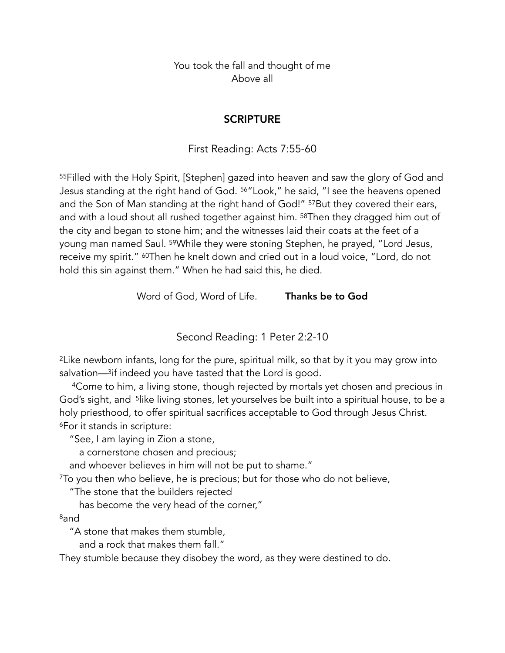You took the fall and thought of me Above all

## **SCRIPTURE**

First Reading: Acts 7:55-60

55Filled with the Holy Spirit, [Stephen] gazed into heaven and saw the glory of God and Jesus standing at the right hand of God. 56"Look," he said, "I see the heavens opened and the Son of Man standing at the right hand of God!" <sup>57</sup>But they covered their ears, and with a loud shout all rushed together against him. 58Then they dragged him out of the city and began to stone him; and the witnesses laid their coats at the feet of a young man named Saul. 59While they were stoning Stephen, he prayed, "Lord Jesus, receive my spirit." 60Then he knelt down and cried out in a loud voice, "Lord, do not hold this sin against them." When he had said this, he died.

Word of God, Word of Life. Thanks be to God

Second Reading: 1 Peter 2:2-10

2Like newborn infants, long for the pure, spiritual milk, so that by it you may grow into salvation—<sup>3</sup>if indeed you have tasted that the Lord is good.

4Come to him, a living stone, though rejected by mortals yet chosen and precious in God's sight, and <sup>5</sup>like living stones, let yourselves be built into a spiritual house, to be a holy priesthood, to offer spiritual sacrifices acceptable to God through Jesus Christ. 6For it stands in scripture:

"See, I am laying in Zion a stone,

a cornerstone chosen and precious;

and whoever believes in him will not be put to shame."

7To you then who believe, he is precious; but for those who do not believe,

"The stone that the builders rejected

has become the very head of the corner,"

8and

"A stone that makes them stumble,

and a rock that makes them fall."

They stumble because they disobey the word, as they were destined to do.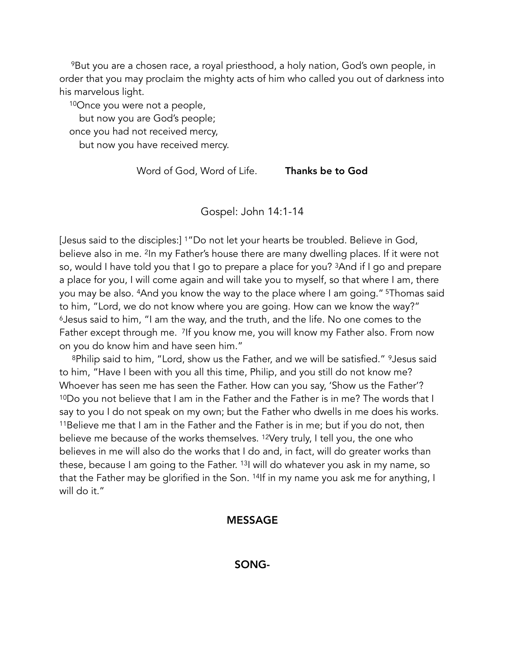9But you are a chosen race, a royal priesthood, a holy nation, God's own people, in order that you may proclaim the mighty acts of him who called you out of darkness into his marvelous light.

10Once you were not a people,

but now you are God's people;

once you had not received mercy,

but now you have received mercy.

Word of God, Word of Life. Thanks be to God

Gospel: John 14:1-14

[Jesus said to the disciples:] 1"Do not let your hearts be troubled. Believe in God, believe also in me. <sup>2</sup>In my Father's house there are many dwelling places. If it were not so, would I have told you that I go to prepare a place for you? 3And if I go and prepare a place for you, I will come again and will take you to myself, so that where I am, there you may be also. 4And you know the way to the place where I am going." 5Thomas said to him, "Lord, we do not know where you are going. How can we know the way?" 6Jesus said to him, "I am the way, and the truth, and the life. No one comes to the Father except through me. 7If you know me, you will know my Father also. From now on you do know him and have seen him."

8Philip said to him, "Lord, show us the Father, and we will be satisfied." <sup>9</sup>Jesus said to him, "Have I been with you all this time, Philip, and you still do not know me? Whoever has seen me has seen the Father. How can you say, 'Show us the Father'? 10Do you not believe that I am in the Father and the Father is in me? The words that I say to you I do not speak on my own; but the Father who dwells in me does his works. 11Believe me that I am in the Father and the Father is in me; but if you do not, then believe me because of the works themselves. 12Very truly, I tell you, the one who believes in me will also do the works that I do and, in fact, will do greater works than these, because I am going to the Father. 13I will do whatever you ask in my name, so that the Father may be glorified in the Son. 14If in my name you ask me for anything, I will do it."

## MESSAGE

## SONG-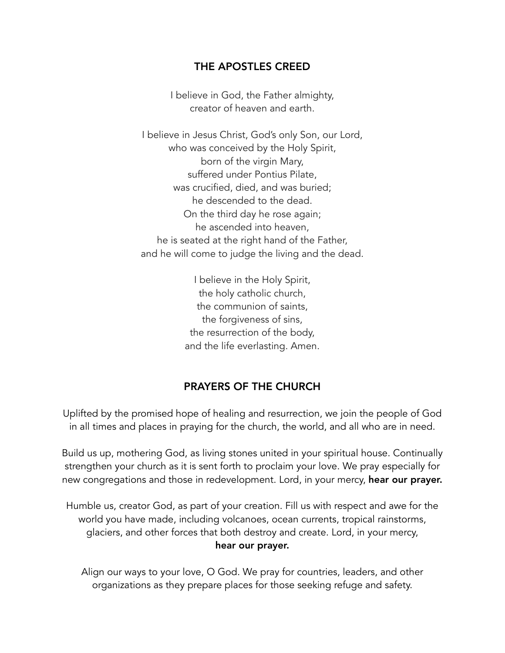# THE APOSTLES CREED

I believe in God, the Father almighty, creator of heaven and earth.

I believe in Jesus Christ, God's only Son, our Lord, who was conceived by the Holy Spirit, born of the virgin Mary, suffered under Pontius Pilate, was crucified, died, and was buried; he descended to the dead. On the third day he rose again; he ascended into heaven, he is seated at the right hand of the Father, and he will come to judge the living and the dead.

> I believe in the Holy Spirit, the holy catholic church, the communion of saints, the forgiveness of sins, the resurrection of the body, and the life everlasting. Amen.

# PRAYERS OF THE CHURCH

Uplifted by the promised hope of healing and resurrection, we join the people of God in all times and places in praying for the church, the world, and all who are in need.

Build us up, mothering God, as living stones united in your spiritual house. Continually strengthen your church as it is sent forth to proclaim your love. We pray especially for new congregations and those in redevelopment. Lord, in your mercy, hear our prayer.

Humble us, creator God, as part of your creation. Fill us with respect and awe for the world you have made, including volcanoes, ocean currents, tropical rainstorms, glaciers, and other forces that both destroy and create. Lord, in your mercy, hear our prayer.

Align our ways to your love, O God. We pray for countries, leaders, and other organizations as they prepare places for those seeking refuge and safety.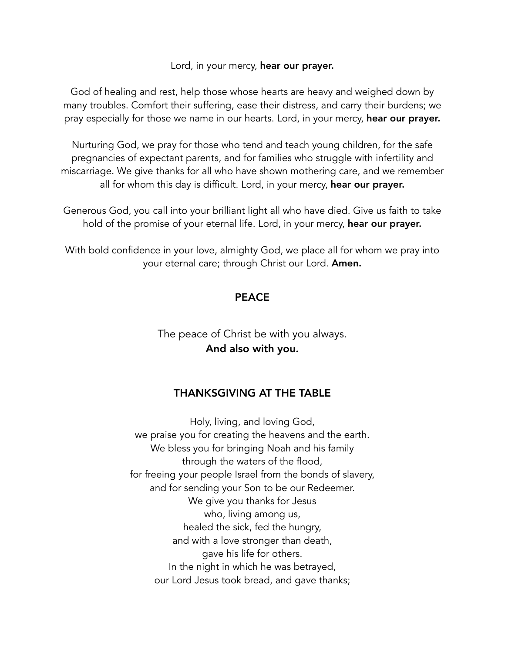### Lord, in your mercy, hear our prayer.

God of healing and rest, help those whose hearts are heavy and weighed down by many troubles. Comfort their suffering, ease their distress, and carry their burdens; we pray especially for those we name in our hearts. Lord, in your mercy, hear our prayer.

Nurturing God, we pray for those who tend and teach young children, for the safe pregnancies of expectant parents, and for families who struggle with infertility and miscarriage. We give thanks for all who have shown mothering care, and we remember all for whom this day is difficult. Lord, in your mercy, hear our prayer.

Generous God, you call into your brilliant light all who have died. Give us faith to take hold of the promise of your eternal life. Lord, in your mercy, hear our prayer.

With bold confidence in your love, almighty God, we place all for whom we pray into your eternal care; through Christ our Lord. Amen.

## **PEACE**

The peace of Christ be with you always. And also with you.

## THANKSGIVING AT THE TABLE

Holy, living, and loving God, we praise you for creating the heavens and the earth. We bless you for bringing Noah and his family through the waters of the flood, for freeing your people Israel from the bonds of slavery, and for sending your Son to be our Redeemer. We give you thanks for Jesus who, living among us, healed the sick, fed the hungry, and with a love stronger than death, gave his life for others. In the night in which he was betrayed, our Lord Jesus took bread, and gave thanks;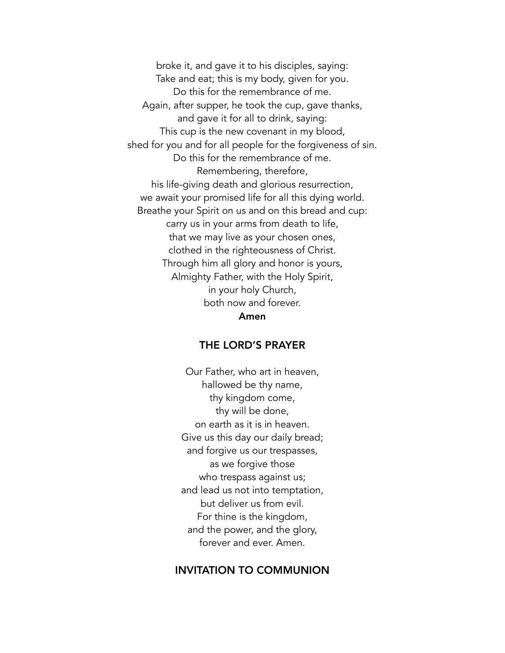broke it, and gave it to his disciples, saying: Take and eat; this is my body, given for you. Do this for the remembrance of me. Again, after supper, he took the cup, gave thanks, and gave it for all to drink, saying: This cup is the new covenant in my blood, shed for you and for all people for the forgiveness of sin. Do this for the remembrance of me. Remembering, therefore, his life-giving death and glorious resurrection, we await your promised life for all this dying world. Breathe your Spirit on us and on this bread and cup: carry us in your arms from death to life, that we may live as your chosen ones, clothed in the righteousness of Christ. Through him all glory and honor is yours, Almighty Father, with the Holy Spirit, in your holy Church, both now and forever. Amen

## THE LORD'S PRAYER

Our Father, who art in heaven, hallowed be thy name, thy kingdom come, thy will be done, on earth as it is in heaven. Give us this day our daily bread; and forgive us our trespasses, as we forgive those who trespass against us; and lead us not into temptation, but deliver us from evil. For thine is the kingdom, and the power, and the glory, forever and ever. Amen.

## INVITATION TO COMMUNION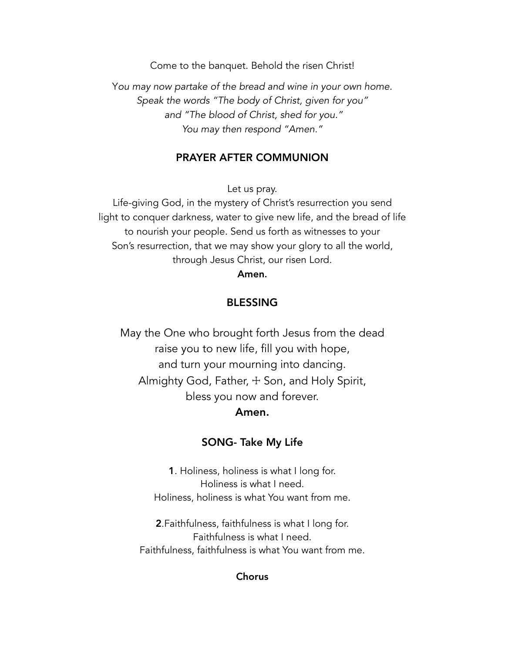Come to the banquet. Behold the risen Christ!

Y*ou may now partake of the bread and wine in your own home. Speak the words "The body of Christ, given for you" and "The blood of Christ, shed for you." You may then respond "Amen."* 

## PRAYER AFTER COMMUNION

Let us pray.

Life-giving God, in the mystery of Christ's resurrection you send light to conquer darkness, water to give new life, and the bread of life to nourish your people. Send us forth as witnesses to your Son's resurrection, that we may show your glory to all the world, through Jesus Christ, our risen Lord.

## Amen.

## BLESSING

May the One who brought forth Jesus from the dead raise you to new life, fill you with hope, and turn your mourning into dancing. Almighty God, Father, + Son, and Holy Spirit, bless you now and forever. Amen.

## SONG- Take My Life

1. Holiness, holiness is what I long for. Holiness is what I need. Holiness, holiness is what You want from me.

2.Faithfulness, faithfulness is what I long for. Faithfulness is what I need. Faithfulness, faithfulness is what You want from me.

### Chorus